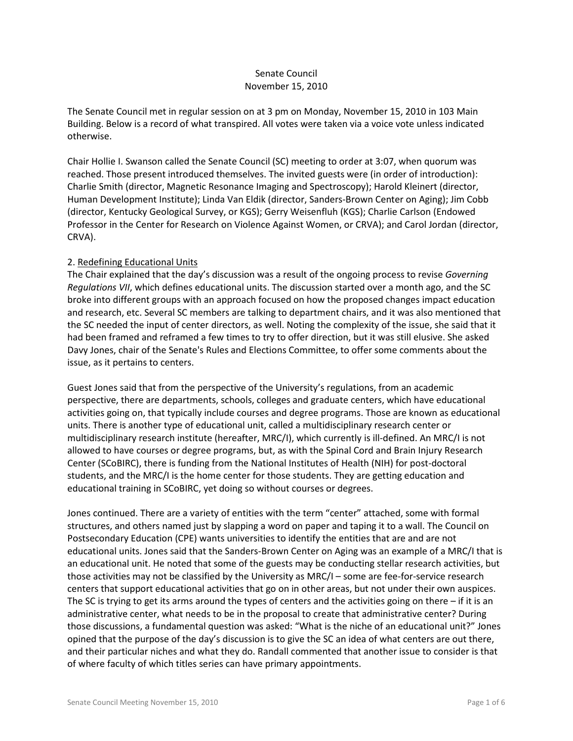# Senate Council November 15, 2010

The Senate Council met in regular session on at 3 pm on Monday, November 15, 2010 in 103 Main Building. Below is a record of what transpired. All votes were taken via a voice vote unless indicated otherwise.

Chair Hollie I. Swanson called the Senate Council (SC) meeting to order at 3:07, when quorum was reached. Those present introduced themselves. The invited guests were (in order of introduction): Charlie Smith (director, Magnetic Resonance Imaging and Spectroscopy); Harold Kleinert (director, Human Development Institute); Linda Van Eldik (director, Sanders-Brown Center on Aging); Jim Cobb (director, Kentucky Geological Survey, or KGS); Gerry Weisenfluh (KGS); Charlie Carlson (Endowed Professor in the Center for Research on Violence Against Women, or CRVA); and Carol Jordan (director, CRVA).

#### 2. Redefining Educational Units

The Chair explained that the day's discussion was a result of the ongoing process to revise *Governing Regulations VII*, which defines educational units. The discussion started over a month ago, and the SC broke into different groups with an approach focused on how the proposed changes impact education and research, etc. Several SC members are talking to department chairs, and it was also mentioned that the SC needed the input of center directors, as well. Noting the complexity of the issue, she said that it had been framed and reframed a few times to try to offer direction, but it was still elusive. She asked Davy Jones, chair of the Senate's Rules and Elections Committee, to offer some comments about the issue, as it pertains to centers.

Guest Jones said that from the perspective of the University's regulations, from an academic perspective, there are departments, schools, colleges and graduate centers, which have educational activities going on, that typically include courses and degree programs. Those are known as educational units. There is another type of educational unit, called a multidisciplinary research center or multidisciplinary research institute (hereafter, MRC/I), which currently is ill-defined. An MRC/I is not allowed to have courses or degree programs, but, as with the Spinal Cord and Brain Injury Research Center (SCoBIRC), there is funding from the National Institutes of Health (NIH) for post-doctoral students, and the MRC/I is the home center for those students. They are getting education and educational training in SCoBIRC, yet doing so without courses or degrees.

Jones continued. There are a variety of entities with the term "center" attached, some with formal structures, and others named just by slapping a word on paper and taping it to a wall. The Council on Postsecondary Education (CPE) wants universities to identify the entities that are and are not educational units. Jones said that the Sanders-Brown Center on Aging was an example of a MRC/I that is an educational unit. He noted that some of the guests may be conducting stellar research activities, but those activities may not be classified by the University as MRC/I – some are fee-for-service research centers that support educational activities that go on in other areas, but not under their own auspices. The SC is trying to get its arms around the types of centers and the activities going on there – if it is an administrative center, what needs to be in the proposal to create that administrative center? During those discussions, a fundamental question was asked: "What is the niche of an educational unit?" Jones opined that the purpose of the day's discussion is to give the SC an idea of what centers are out there, and their particular niches and what they do. Randall commented that another issue to consider is that of where faculty of which titles series can have primary appointments.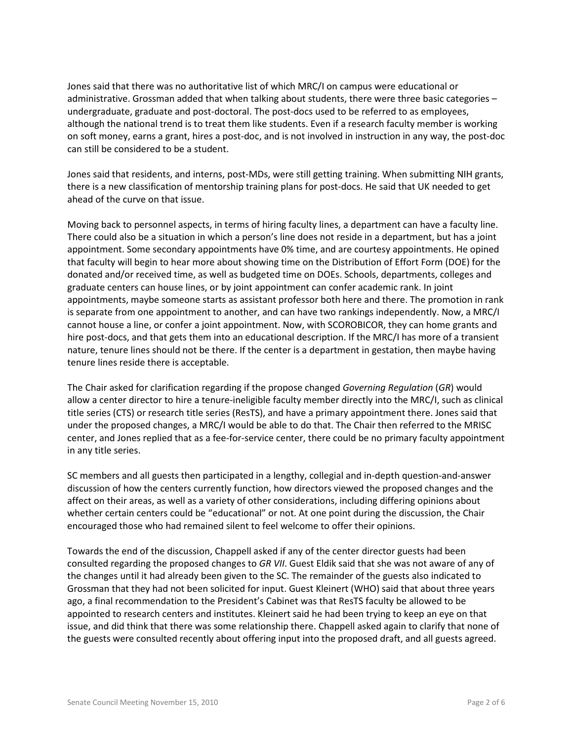Jones said that there was no authoritative list of which MRC/I on campus were educational or administrative. Grossman added that when talking about students, there were three basic categories – undergraduate, graduate and post-doctoral. The post-docs used to be referred to as employees, although the national trend is to treat them like students. Even if a research faculty member is working on soft money, earns a grant, hires a post-doc, and is not involved in instruction in any way, the post-doc can still be considered to be a student.

Jones said that residents, and interns, post-MDs, were still getting training. When submitting NIH grants, there is a new classification of mentorship training plans for post-docs. He said that UK needed to get ahead of the curve on that issue.

Moving back to personnel aspects, in terms of hiring faculty lines, a department can have a faculty line. There could also be a situation in which a person's line does not reside in a department, but has a joint appointment. Some secondary appointments have 0% time, and are courtesy appointments. He opined that faculty will begin to hear more about showing time on the Distribution of Effort Form (DOE) for the donated and/or received time, as well as budgeted time on DOEs. Schools, departments, colleges and graduate centers can house lines, or by joint appointment can confer academic rank. In joint appointments, maybe someone starts as assistant professor both here and there. The promotion in rank is separate from one appointment to another, and can have two rankings independently. Now, a MRC/I cannot house a line, or confer a joint appointment. Now, with SCOROBICOR, they can home grants and hire post-docs, and that gets them into an educational description. If the MRC/I has more of a transient nature, tenure lines should not be there. If the center is a department in gestation, then maybe having tenure lines reside there is acceptable.

The Chair asked for clarification regarding if the propose changed *Governing Regulation* (*GR*) would allow a center director to hire a tenure-ineligible faculty member directly into the MRC/I, such as clinical title series (CTS) or research title series (ResTS), and have a primary appointment there. Jones said that under the proposed changes, a MRC/I would be able to do that. The Chair then referred to the MRISC center, and Jones replied that as a fee-for-service center, there could be no primary faculty appointment in any title series.

SC members and all guests then participated in a lengthy, collegial and in-depth question-and-answer discussion of how the centers currently function, how directors viewed the proposed changes and the affect on their areas, as well as a variety of other considerations, including differing opinions about whether certain centers could be "educational" or not. At one point during the discussion, the Chair encouraged those who had remained silent to feel welcome to offer their opinions.

Towards the end of the discussion, Chappell asked if any of the center director guests had been consulted regarding the proposed changes to *GR VII*. Guest Eldik said that she was not aware of any of the changes until it had already been given to the SC. The remainder of the guests also indicated to Grossman that they had not been solicited for input. Guest Kleinert (WHO) said that about three years ago, a final recommendation to the President's Cabinet was that ResTS faculty be allowed to be appointed to research centers and institutes. Kleinert said he had been trying to keep an eye on that issue, and did think that there was some relationship there. Chappell asked again to clarify that none of the guests were consulted recently about offering input into the proposed draft, and all guests agreed.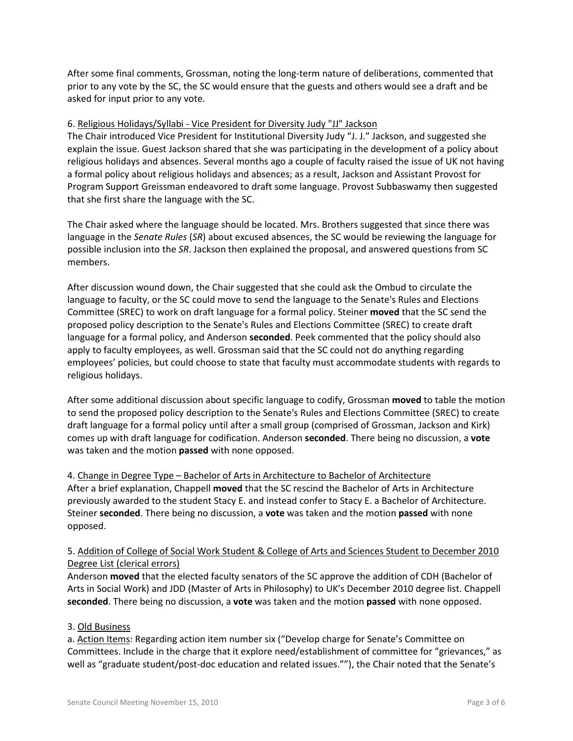After some final comments, Grossman, noting the long-term nature of deliberations, commented that prior to any vote by the SC, the SC would ensure that the guests and others would see a draft and be asked for input prior to any vote.

#### 6. Religious Holidays/Syllabi - Vice President for Diversity Judy "JJ" Jackson

The Chair introduced Vice President for Institutional Diversity Judy "J. J." Jackson, and suggested she explain the issue. Guest Jackson shared that she was participating in the development of a policy about religious holidays and absences. Several months ago a couple of faculty raised the issue of UK not having a formal policy about religious holidays and absences; as a result, Jackson and Assistant Provost for Program Support Greissman endeavored to draft some language. Provost Subbaswamy then suggested that she first share the language with the SC.

The Chair asked where the language should be located. Mrs. Brothers suggested that since there was language in the *Senate Rules* (*SR*) about excused absences, the SC would be reviewing the language for possible inclusion into the *SR*. Jackson then explained the proposal, and answered questions from SC members.

After discussion wound down, the Chair suggested that she could ask the Ombud to circulate the language to faculty, or the SC could move to send the language to the Senate's Rules and Elections Committee (SREC) to work on draft language for a formal policy. Steiner **moved** that the SC send the proposed policy description to the Senate's Rules and Elections Committee (SREC) to create draft language for a formal policy, and Anderson **seconded**. Peek commented that the policy should also apply to faculty employees, as well. Grossman said that the SC could not do anything regarding employees' policies, but could choose to state that faculty must accommodate students with regards to religious holidays.

After some additional discussion about specific language to codify, Grossman **moved** to table the motion to send the proposed policy description to the Senate's Rules and Elections Committee (SREC) to create draft language for a formal policy until after a small group (comprised of Grossman, Jackson and Kirk) comes up with draft language for codification. Anderson **seconded**. There being no discussion, a **vote** was taken and the motion **passed** with none opposed.

4. Change in Degree Type – Bachelor of Arts in Architecture to Bachelor of Architecture After a brief explanation, Chappell **moved** that the SC rescind the Bachelor of Arts in Architecture previously awarded to the student Stacy E. and instead confer to Stacy E. a Bachelor of Architecture. Steiner **seconded**. There being no discussion, a **vote** was taken and the motion **passed** with none opposed.

## 5. Addition of College of Social Work Student & College of Arts and Sciences Student to December 2010 Degree List (clerical errors)

Anderson **moved** that the elected faculty senators of the SC approve the addition of CDH (Bachelor of Arts in Social Work) and JDD (Master of Arts in Philosophy) to UK's December 2010 degree list. Chappell **seconded**. There being no discussion, a **vote** was taken and the motion **passed** with none opposed.

## 3. Old Business

a. Action Items: Regarding action item number six ("Develop charge for Senate's Committee on Committees. Include in the charge that it explore need/establishment of committee for "grievances," as well as "graduate student/post-doc education and related issues.""), the Chair noted that the Senate's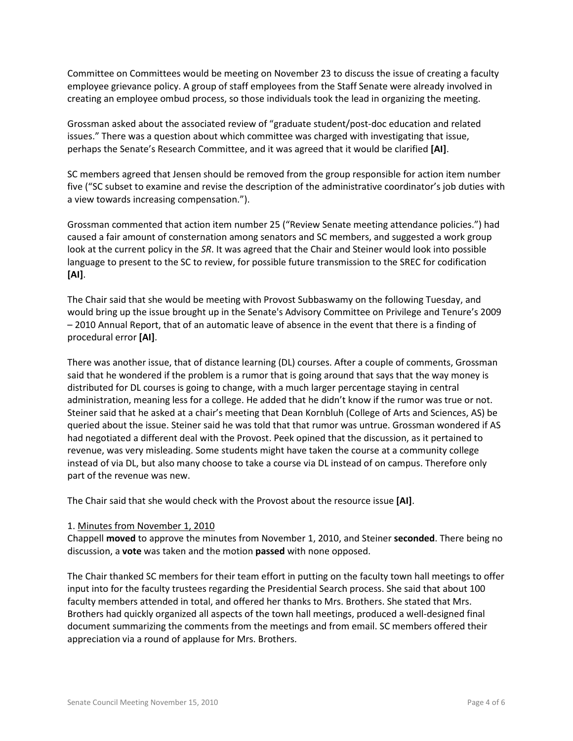Committee on Committees would be meeting on November 23 to discuss the issue of creating a faculty employee grievance policy. A group of staff employees from the Staff Senate were already involved in creating an employee ombud process, so those individuals took the lead in organizing the meeting.

Grossman asked about the associated review of "graduate student/post-doc education and related issues." There was a question about which committee was charged with investigating that issue, perhaps the Senate's Research Committee, and it was agreed that it would be clarified **[AI]**.

SC members agreed that Jensen should be removed from the group responsible for action item number five ("SC subset to examine and revise the description of the administrative coordinator's job duties with a view towards increasing compensation.").

Grossman commented that action item number 25 ("Review Senate meeting attendance policies.") had caused a fair amount of consternation among senators and SC members, and suggested a work group look at the current policy in the *SR*. It was agreed that the Chair and Steiner would look into possible language to present to the SC to review, for possible future transmission to the SREC for codification **[AI]**.

The Chair said that she would be meeting with Provost Subbaswamy on the following Tuesday, and would bring up the issue brought up in the Senate's Advisory Committee on Privilege and Tenure's 2009 – 2010 Annual Report, that of an automatic leave of absence in the event that there is a finding of procedural error **[AI]**.

There was another issue, that of distance learning (DL) courses. After a couple of comments, Grossman said that he wondered if the problem is a rumor that is going around that says that the way money is distributed for DL courses is going to change, with a much larger percentage staying in central administration, meaning less for a college. He added that he didn't know if the rumor was true or not. Steiner said that he asked at a chair's meeting that Dean Kornbluh (College of Arts and Sciences, AS) be queried about the issue. Steiner said he was told that that rumor was untrue. Grossman wondered if AS had negotiated a different deal with the Provost. Peek opined that the discussion, as it pertained to revenue, was very misleading. Some students might have taken the course at a community college instead of via DL, but also many choose to take a course via DL instead of on campus. Therefore only part of the revenue was new.

The Chair said that she would check with the Provost about the resource issue **[AI]**.

## 1. Minutes from November 1, 2010

Chappell **moved** to approve the minutes from November 1, 2010, and Steiner **seconded**. There being no discussion, a **vote** was taken and the motion **passed** with none opposed.

The Chair thanked SC members for their team effort in putting on the faculty town hall meetings to offer input into for the faculty trustees regarding the Presidential Search process. She said that about 100 faculty members attended in total, and offered her thanks to Mrs. Brothers. She stated that Mrs. Brothers had quickly organized all aspects of the town hall meetings, produced a well-designed final document summarizing the comments from the meetings and from email. SC members offered their appreciation via a round of applause for Mrs. Brothers.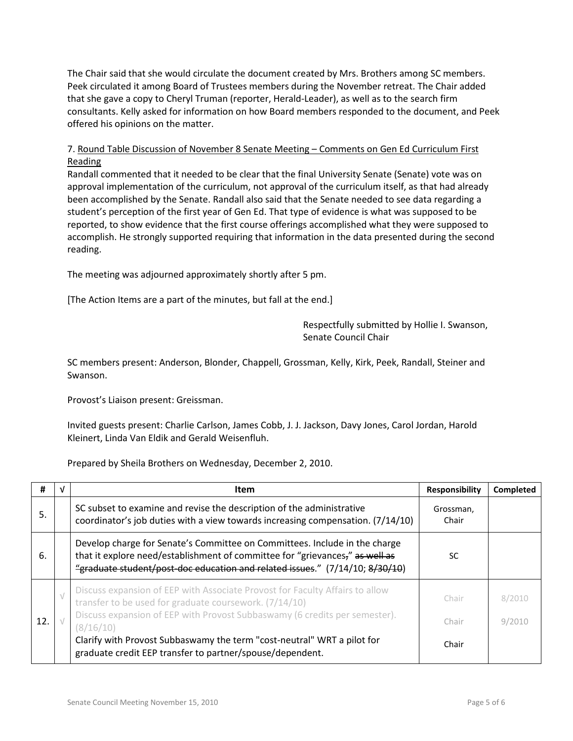The Chair said that she would circulate the document created by Mrs. Brothers among SC members. Peek circulated it among Board of Trustees members during the November retreat. The Chair added that she gave a copy to Cheryl Truman (reporter, Herald-Leader), as well as to the search firm consultants. Kelly asked for information on how Board members responded to the document, and Peek offered his opinions on the matter.

# 7. Round Table Discussion of November 8 Senate Meeting – Comments on Gen Ed Curriculum First Reading

Randall commented that it needed to be clear that the final University Senate (Senate) vote was on approval implementation of the curriculum, not approval of the curriculum itself, as that had already been accomplished by the Senate. Randall also said that the Senate needed to see data regarding a student's perception of the first year of Gen Ed. That type of evidence is what was supposed to be reported, to show evidence that the first course offerings accomplished what they were supposed to accomplish. He strongly supported requiring that information in the data presented during the second reading.

The meeting was adjourned approximately shortly after 5 pm.

[The Action Items are a part of the minutes, but fall at the end.]

Respectfully submitted by Hollie I. Swanson, Senate Council Chair

SC members present: Anderson, Blonder, Chappell, Grossman, Kelly, Kirk, Peek, Randall, Steiner and Swanson.

Provost's Liaison present: Greissman.

Invited guests present: Charlie Carlson, James Cobb, J. J. Jackson, Davy Jones, Carol Jordan, Harold Kleinert, Linda Van Eldik and Gerald Weisenfluh.

Prepared by Sheila Brothers on Wednesday, December 2, 2010.

| #   | v         | <b>Item</b>                                                                                                                                                                                                                                | <b>Responsibility</b> | Completed |
|-----|-----------|--------------------------------------------------------------------------------------------------------------------------------------------------------------------------------------------------------------------------------------------|-----------------------|-----------|
| 5.  |           | SC subset to examine and revise the description of the administrative<br>coordinator's job duties with a view towards increasing compensation. (7/14/10)                                                                                   | Grossman,<br>Chair    |           |
| 6.  |           | Develop charge for Senate's Committee on Committees. Include in the charge<br>that it explore need/establishment of committee for "grievances," as well as<br>"graduate student/post-doc education and related issues." (7/14/10; 8/30/10) | SC.                   |           |
|     | $\sqrt{}$ | Discuss expansion of EEP with Associate Provost for Faculty Affairs to allow<br>transfer to be used for graduate coursework. (7/14/10)                                                                                                     | Chair                 | 8/2010    |
| 12. |           | Discuss expansion of EEP with Provost Subbaswamy (6 credits per semester).<br>(8/16/10)                                                                                                                                                    | Chair                 | 9/2010    |
|     |           | Clarify with Provost Subbaswamy the term "cost-neutral" WRT a pilot for<br>graduate credit EEP transfer to partner/spouse/dependent.                                                                                                       | Chair                 |           |